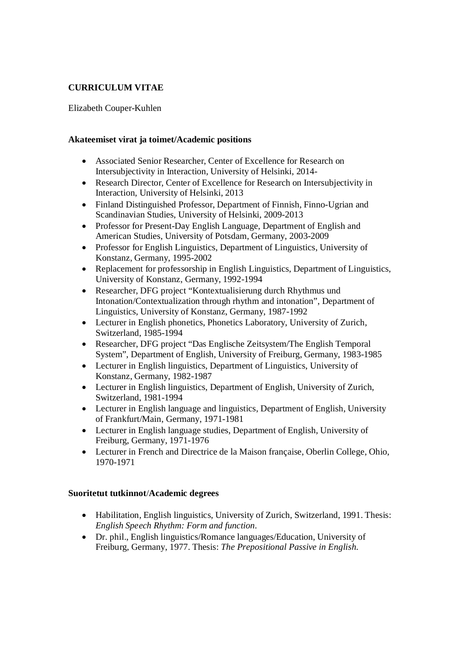# **CURRICULUM VITAE**

## Elizabeth Couper-Kuhlen

### **Akateemiset virat ja toimet/Academic positions**

- Associated Senior Researcher, Center of Excellence for Research on Intersubjectivity in Interaction, University of Helsinki, 2014-
- · Research Director, Center of Excellence for Research on Intersubjectivity in Interaction, University of Helsinki, 2013
- Finland Distinguished Professor, Department of Finnish, Finno-Ugrian and Scandinavian Studies, University of Helsinki, 2009-2013
- · Professor for Present-Day English Language, Department of English and American Studies, University of Potsdam, Germany, 2003-2009
- · Professor for English Linguistics, Department of Linguistics, University of Konstanz, Germany, 1995-2002
- · Replacement for professorship in English Linguistics, Department of Linguistics, University of Konstanz, Germany, 1992-1994
- Researcher, DFG project "Kontextualisierung durch Rhythmus und Intonation/Contextualization through rhythm and intonation", Department of Linguistics, University of Konstanz, Germany, 1987-1992
- Lecturer in English phonetics, Phonetics Laboratory, University of Zurich, Switzerland, 1985-1994
- · Researcher, DFG project "Das Englische Zeitsystem/The English Temporal System", Department of English, University of Freiburg, Germany, 1983-1985
- Lecturer in English linguistics, Department of Linguistics, University of Konstanz, Germany, 1982-1987
- Lecturer in English linguistics, Department of English, University of Zurich, Switzerland, 1981-1994
- · Lecturer in English language and linguistics, Department of English, University of Frankfurt/Main, Germany, 1971-1981
- · Lecturer in English language studies, Department of English, University of Freiburg, Germany, 1971-1976
- · Lecturer in French and Directrice de la Maison française, Oberlin College, Ohio, 1970-1971

#### **Suoritetut tutkinnot**/**Academic degrees**

- Habilitation, English linguistics, University of Zurich, Switzerland, 1991. Thesis: *English Speech Rhythm: Form and function.*
- · Dr. phil., English linguistics/Romance languages/Education, University of Freiburg, Germany, 1977. Thesis: *The Prepositional Passive in English.*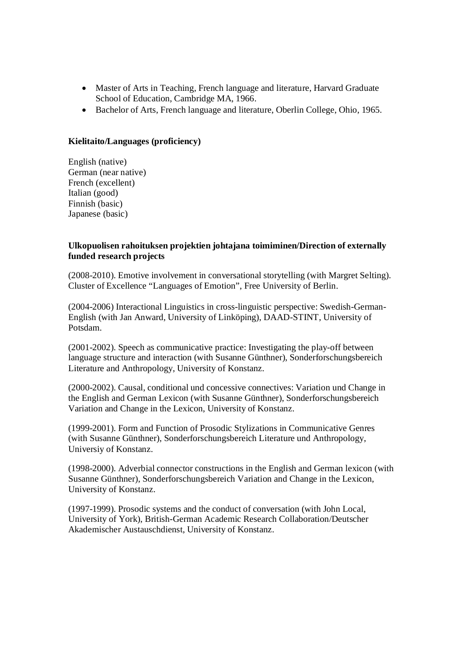- · Master of Arts in Teaching, French language and literature, Harvard Graduate School of Education, Cambridge MA, 1966.
- · Bachelor of Arts, French language and literature, Oberlin College, Ohio, 1965.

### **Kielitaito/Languages (proficiency)**

English (native) German (near native) French (excellent) Italian (good) Finnish (basic) Japanese (basic)

#### **Ulkopuolisen rahoituksen projektien johtajana toimiminen/Direction of externally funded research projects**

(2008-2010). Emotive involvement in conversational storytelling (with Margret Selting). Cluster of Excellence "Languages of Emotion", Free University of Berlin.

(2004-2006) Interactional Linguistics in cross-linguistic perspective: Swedish-German-English (with Jan Anward, University of Linköping), DAAD-STINT, University of Potsdam.

(2001-2002). Speech as communicative practice: Investigating the play-off between language structure and interaction (with Susanne Günthner), Sonderforschungsbereich Literature and Anthropology, University of Konstanz.

(2000-2002). Causal, conditional und concessive connectives: Variation und Change in the English and German Lexicon (with Susanne Günthner), Sonderforschungsbereich Variation and Change in the Lexicon, University of Konstanz.

(1999-2001). Form and Function of Prosodic Stylizations in Communicative Genres (with Susanne Günthner), Sonderforschungsbereich Literature und Anthropology, Universiy of Konstanz.

(1998-2000). Adverbial connector constructions in the English and German lexicon (with Susanne Günthner), Sonderforschungsbereich Variation and Change in the Lexicon, University of Konstanz.

(1997-1999). Prosodic systems and the conduct of conversation (with John Local, University of York), British-German Academic Research Collaboration/Deutscher Akademischer Austauschdienst, University of Konstanz.